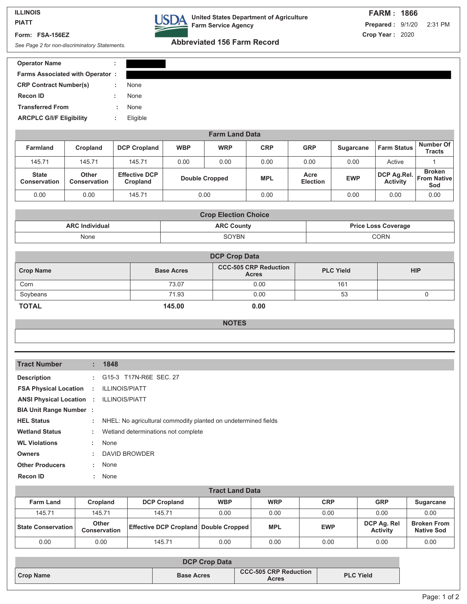#### **ILLINOIS PIATT**

**Form: FSA-156EZ**

**DA** United States Department of Agriculture **Farm Service Agency**

# **Abbreviated 156 Farm Record** *See Page 2 for non-discriminatory Statements.*

| <b>Operator Name</b>                   |          |
|----------------------------------------|----------|
| <b>Farms Associated with Operator:</b> |          |
| <b>CRP Contract Number(s)</b>          | None     |
| <b>Recon ID</b>                        | None     |
| <b>Transferred From</b>                | None     |
| <b>ARCPLC G/I/F Eligibility</b>        | Eligible |
|                                        |          |

| <b>Farm Land Data</b>               |                              |                                  |                       |            |            |                         |                  |                                |                                            |
|-------------------------------------|------------------------------|----------------------------------|-----------------------|------------|------------|-------------------------|------------------|--------------------------------|--------------------------------------------|
| <b>Farmland</b>                     | Cropland                     | <b>DCP Cropland</b>              | <b>WBP</b>            | <b>WRP</b> | <b>CRP</b> | <b>GRP</b>              | <b>Sugarcane</b> | <b>Farm Status</b>             | Number Of<br><b>Tracts</b>                 |
| 145.71                              | 145.71                       | 145.71                           | 0.00                  | 0.00       | 0.00       | 0.00                    | 0.00             | Active                         |                                            |
| <b>State</b><br><b>Conservation</b> | Other<br><b>Conservation</b> | <b>Effective DCP</b><br>Cropland | <b>Double Cropped</b> |            | <b>MPL</b> | Acre<br><b>Election</b> | <b>EWP</b>       | DCP Ag.Rel.<br><b>Activity</b> | <b>Broken</b><br><b>From Native</b><br>Sod |
| 0.00                                | 0.00                         | 145.71                           |                       | 0.00       | 0.00       |                         | 0.00             | 0.00                           | 0.00                                       |

| <b>Crop Election Choice</b> |                   |                            |  |  |
|-----------------------------|-------------------|----------------------------|--|--|
| <b>ARC Individual</b>       | <b>ARC County</b> | <b>Price Loss Coverage</b> |  |  |
| None                        | SOYBN             | <b>CORN</b>                |  |  |

| <b>DCP Crop Data</b> |                   |                                              |                  |            |  |  |  |
|----------------------|-------------------|----------------------------------------------|------------------|------------|--|--|--|
| <b>Crop Name</b>     | <b>Base Acres</b> | <b>CCC-505 CRP Reduction</b><br><b>Acres</b> | <b>PLC Yield</b> | <b>HIP</b> |  |  |  |
| Corn                 | 73.07             | 0.00                                         | 161              |            |  |  |  |
| Soybeans             | 71.93             | 0.00                                         | 53               |            |  |  |  |
| <b>TOTAL</b>         | 145.00            | 0.00                                         |                  |            |  |  |  |

### **NOTES**

| <b>Tract Number</b>                            |                             | : 1848                                                           |
|------------------------------------------------|-----------------------------|------------------------------------------------------------------|
| <b>Description</b>                             |                             | : G15-3 T17N-R6E SEC. 27                                         |
| <b>FSA Physical Location :</b>                 |                             | <b>ILLINOIS/PIATT</b>                                            |
| <b>ANSI Physical Location : ILLINOIS/PIATT</b> |                             |                                                                  |
| <b>BIA Unit Range Number :</b>                 |                             |                                                                  |
| <b>HEL Status</b>                              |                             | : NHEL: No agricultural commodity planted on undetermined fields |
| <b>Wetland Status</b>                          | ÷                           | Wetland determinations not complete                              |
| <b>WL Violations</b>                           | $\mathcal{L}^{\mathcal{L}}$ | None                                                             |
| <b>Owners</b>                                  | ÷.                          | <b>DAVID BROWDER</b>                                             |
| <b>Other Producers</b>                         |                             | : None                                                           |
| <b>Recon ID</b>                                | ÷.                          | None                                                             |

| <b>Tract Land Data</b>      |                       |                                                  |            |            |            |                                |                                         |  |  |
|-----------------------------|-----------------------|--------------------------------------------------|------------|------------|------------|--------------------------------|-----------------------------------------|--|--|
| <b>Farm Land</b>            | <b>Cropland</b>       | <b>DCP Cropland</b>                              | <b>WBP</b> | <b>WRP</b> | <b>CRP</b> | <b>GRP</b>                     | <b>Sugarcane</b>                        |  |  |
| 145.71                      | 145.71                | 145.71                                           | 0.00       | 0.00       | 0.00       | 0.00                           | 0.00                                    |  |  |
| <b>State Conservation  </b> | Other<br>Conservation | <b>Effective DCP Cropland   Double Cropped  </b> |            | <b>MPL</b> | <b>EWP</b> | DCP Ag. Rel<br><b>Activity</b> | <b>Broken From</b><br><b>Native Sod</b> |  |  |
| 0.00                        | 0.00                  | 145.71                                           | 0.00       | 0.00       | 0.00       | 0.00                           | 0.00                                    |  |  |

| <b>DCP Crop Data</b> |                   |                                       |                  |  |
|----------------------|-------------------|---------------------------------------|------------------|--|
| Crop Name            | <b>Base Acres</b> | <b>CCC-505 CRP Reduction</b><br>Acres | <b>PLC Yield</b> |  |